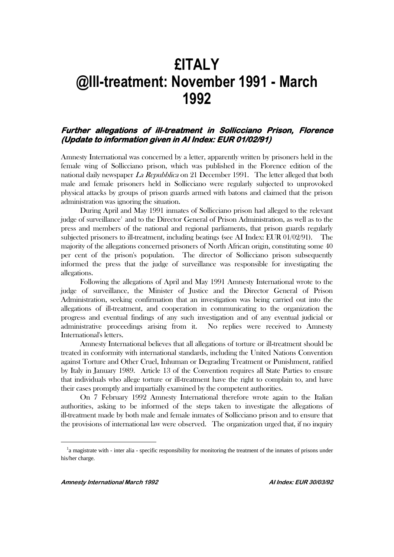# **£ITALY @Ill-treatment: November 1991 - March 1992**

# **Further allegations of ill-treatment in Sollicciano Prison, Florence (Update to information given in AI Index: EUR 01/02/91)**

Amnesty International was concerned by a letter, apparently written by prisoners held in the female wing of Sollicciano prison, which was published in the Florence edition of the national daily newspaper La Repubblica on 21 December 1991. The letter alleged that both male and female prisoners held in Sollicciano were regularly subjected to unprovoked physical attacks by groups of prison guards armed with batons and claimed that the prison administration was ignoring the situation.

During April and May 1991 inmates of Sollicciano prison had alleged to the relevant judge of surveillance<sup>1</sup> and to the Director General of Prison Administration, as well as to the press and members of the national and regional parliaments, that prison guards regularly subjected prisoners to ill-treatment, including beatings (see AI Index: EUR 01/02/91). The majority of the allegations concerned prisoners of North African origin, constituting some 40 per cent of the prison's population. The director of Sollicciano prison subsequently informed the press that the judge of surveillance was responsible for investigating the allegations.

Following the allegations of April and May 1991 Amnesty International wrote to the judge of surveillance, the Minister of Justice and the Director General of Prison Administration, seeking confirmation that an investigation was being carried out into the allegations of ill-treatment, and cooperation in communicating to the organization the progress and eventual findings of any such investigation and of any eventual judicial or administrative proceedings arising from it. No replies were received to Amnesty International's letters.

Amnesty International believes that all allegations of torture or ill-treatment should be treated in conformity with international standards, including the United Nations Convention against Torture and Other Cruel, Inhuman or Degrading Treatment or Punishment, ratified by Italy in January 1989. Article 13 of the Convention requires all State Parties to ensure that individuals who allege torture or ill-treatment have the right to complain to, and have their cases promptly and impartially examined by the competent authorities.

On 7 February 1992 Amnesty International therefore wrote again to the Italian authorities, asking to be informed of the steps taken to investigate the allegations of ill-treatment made by both male and female inmates of Sollicciano prison and to ensure that the provisions of international law were observed. The organization urged that, if no inquiry

 $\overline{a}$ 

<sup>&</sup>lt;sup>1</sup>a magistrate with - inter alia - specific responsibility for monitoring the treatment of the inmates of prisons under his/her charge.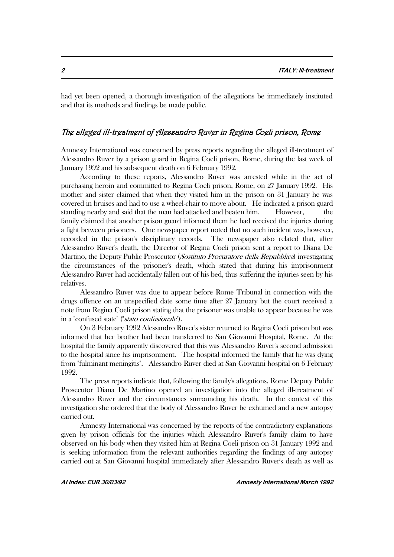had yet been opened, a thorough investigation of the allegations be immediately instituted and that its methods and findings be made public.

## The alleged ill-treatment of Alessandro Ruver in Regina Coeli prison, Rome

Amnesty International was concerned by press reports regarding the alleged ill-treatment of Alessandro Ruver by a prison guard in Regina Coeli prison, Rome, during the last week of January 1992 and his subsequent death on 6 February 1992.

According to these reports, Alessandro Ruver was arrested while in the act of purchasing heroin and committed to Regina Coeli prison, Rome, on 27 January 1992. His mother and sister claimed that when they visited him in the prison on 31 January he was covered in bruises and had to use a wheel-chair to move about. He indicated a prison guard standing nearby and said that the man had attacked and beaten him. However, the family claimed that another prison guard informed them he had received the injuries during a fight between prisoners. One newspaper report noted that no such incident was, however, recorded in the prison's disciplinary records. The newspaper also related that, after Alessandro Ruver's death, the Director of Regina Coeli prison sent a report to Diana De Martino, the Deputy Public Prosecutor (Sostituto Procuratore della Repubblica) investigating the circumstances of the prisoner's death, which stated that during his imprisonment Alessandro Ruver had accidentally fallen out of his bed, thus suffering the injuries seen by his relatives.

Alessandro Ruver was due to appear before Rome Tribunal in connection with the drugs offence on an unspecified date some time after 27 January but the court received a note from Regina Coeli prison stating that the prisoner was unable to appear because he was in a "confused state" ("stato confusionale").

On 3 February 1992 Alessandro Ruver's sister returned to Regina Coeli prison but was informed that her brother had been transferred to San Giovanni Hospital, Rome. At the hospital the family apparently discovered that this was Alessandro Ruver's second admission to the hospital since his imprisonment. The hospital informed the family that he was dying from "fulminant meningitis". Alessandro Ruver died at San Giovanni hospital on 6 February 1992.

The press reports indicate that, following the family's allegations, Rome Deputy Public Prosecutor Diana De Martino opened an investigation into the alleged ill-treatment of Alessandro Ruver and the circumstances surrounding his death. In the context of this investigation she ordered that the body of Alessandro Ruver be exhumed and a new autopsy carried out.

Amnesty International was concerned by the reports of the contradictory explanations given by prison officials for the injuries which Alessandro Ruver's family claim to have observed on his body when they visited him at Regina Coeli prison on 31 January 1992 and is seeking information from the relevant authorities regarding the findings of any autopsy carried out at San Giovanni hospital immediately after Alessandro Ruver's death as well as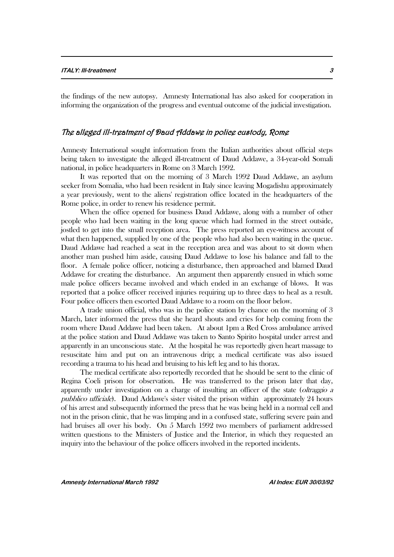the findings of the new autopsy. Amnesty International has also asked for cooperation in informing the organization of the progress and eventual outcome of the judicial investigation.

#### The alleged ill-treatment of Daud Addawe in police custody, Rome

Amnesty International sought information from the Italian authorities about official steps being taken to investigate the alleged ill-treatment of Daud Addawe, a 34-year-old Somali national, in police headquarters in Rome on 3 March 1992.

It was reported that on the morning of 3 March 1992 Daud Addawe, an asylum seeker from Somalia, who had been resident in Italy since leaving Mogadishu approximately a year previously, went to the aliens' registration office located in the headquarters of the Rome police, in order to renew his residence permit.

When the office opened for business Daud Addawe, along with a number of other people who had been waiting in the long queue which had formed in the street outside, jostled to get into the small reception area. The press reported an eye-witness account of what then happened, supplied by one of the people who had also been waiting in the queue. Daud Addawe had reached a seat in the reception area and was about to sit down when another man pushed him aside, causing Daud Addawe to lose his balance and fall to the floor. A female police officer, noticing a disturbance, then approached and blamed Daud Addawe for creating the disturbance. An argument then apparently ensued in which some male police officers became involved and which ended in an exchange of blows. It was reported that a police officer received injuries requiring up to three days to heal as a result. Four police officers then escorted Daud Addawe to a room on the floor below.

A trade union official, who was in the police station by chance on the morning of 3 March, later informed the press that she heard shouts and cries for help coming from the room where Daud Addawe had been taken. At about 1pm a Red Cross ambulance arrived at the police station and Daud Addawe was taken to Santo Spirito hospital under arrest and apparently in an unconscious state. At the hospital he was reportedly given heart massage to resuscitate him and put on an intravenous drip; a medical certificate was also issued recording a trauma to his head and bruising to his left leg and to his thorax.

The medical certificate also reportedly recorded that he should be sent to the clinic of Regina Coeli prison for observation. He was transferred to the prison later that day, apparently under investigation on a charge of insulting an officer of the state (oltraggio a pubblico ufficiale). Daud Addawe's sister visited the prison within approximately 24 hours of his arrest and subsequently informed the press that he was being held in a normal cell and not in the prison clinic, that he was limping and in a confused state, suffering severe pain and had bruises all over his body. On 5 March 1992 two members of parliament addressed written questions to the Ministers of Justice and the Interior, in which they requested an inquiry into the behaviour of the police officers involved in the reported incidents.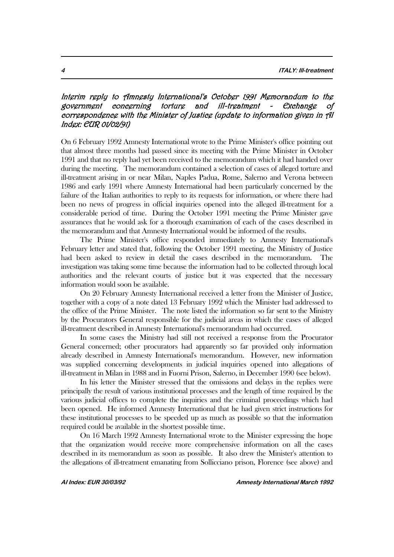# Interim reply to Amnesty International's October 1991 Memorandum to the government concerning torture and ill-treatment - Exchange of correspondence with the Minister of Justice (update to information given in AI Index: EUR 01/02/91)

On 6 February 1992 Amnesty International wrote to the Prime Minister's office pointing out that almost three months had passed since its meeting with the Prime Minister in October 1991 and that no reply had yet been received to the memorandum which it had handed over during the meeting. The memorandum contained a selection of cases of alleged torture and ill-treatment arising in or near Milan, Naples Padua, Rome, Salerno and Verona between 1986 and early 1991 where Amnesty International had been particularly concerned by the failure of the Italian authorities to reply to its requests for information, or where there had been no news of progress in official inquiries opened into the alleged ill-treatment for a considerable period of time. During the October 1991 meeting the Prime Minister gave assurances that he would ask for a thorough examination of each of the cases described in the memorandum and that Amnesty International would be informed of the results.

The Prime Minister's office responded immediately to Amnesty International's February letter and stated that, following the October 1991 meeting, the Ministry of Justice had been asked to review in detail the cases described in the memorandum. The investigation was taking some time because the information had to be collected through local authorities and the relevant courts of justice but it was expected that the necessary information would soon be available.

On 20 February Amnesty International received a letter from the Minister of Justice, together with a copy of a note dated 13 February 1992 which the Minister had addressed to the office of the Prime Minister. The note listed the information so far sent to the Ministry by the Procurators General responsible for the judicial areas in which the cases of alleged ill-treatment described in Amnesty International's memorandum had occurred.

In some cases the Ministry had still not received a response from the Procurator General concerned; other procurators had apparently so far provided only information already described in Amnesty International's memorandum. However, new information was supplied concerning developments in judicial inquiries opened into allegations of ill-treatment in Milan in 1988 and in Fuorni Prison, Salerno, in December 1990 (see below).

In his letter the Minister stressed that the omissions and delays in the replies were principally the result of various institutional processes and the length of time required by the various judicial offices to complete the inquiries and the criminal proceedings which had been opened. He informed Amnesty International that he had given strict instructions for these institutional processes to be speeded up as much as possible so that the information required could be available in the shortest possible time.

On 16 March 1992 Amnesty International wrote to the Minister expressing the hope that the organization would receive more comprehensive information on all the cases described in its memorandum as soon as possible. It also drew the Minister's attention to the allegations of ill-treatment emanating from Sollicciano prison, Florence (see above) and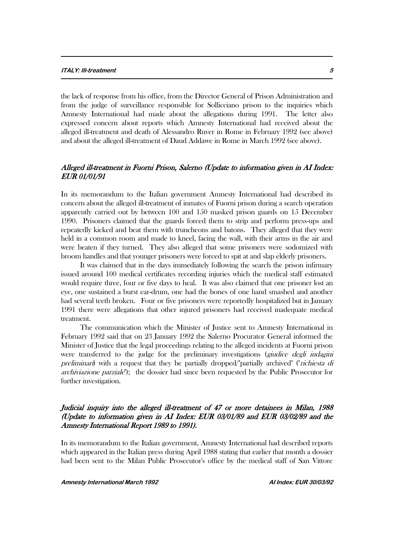the lack of response from his office, from the Director General of Prison Administration and from the judge of surveillance responsible for Sollicciano prison to the inquiries which Amnesty International had made about the allegations during 1991. The letter also expressed concern about reports which Amnesty International had received about the alleged ill-treatment and death of Alessandro Ruver in Rome in February 1992 (see above) and about the alleged ill-treatment of Daud Addawe in Rome in March 1992 (see above).

# Alleged ill-treatment in Fuorni Prison, Salerno (Update to information given in AI Index: EUR 01/01/91

In its memorandum to the Italian government Amnesty International had described its concern about the alleged ill-treatment of inmates of Fuorni prison during a search operation apparently carried out by between 100 and 150 masked prison guards on 15 December 1990. Prisoners claimed that the guards forced them to strip and perform press-ups and repeatedly kicked and beat them with truncheons and batons. They alleged that they were held in a common room and made to kneel, facing the wall, with their arms in the air and were beaten if they turned. They also alleged that some prisoners were sodomized with broom handles and that younger prisoners were forced to spit at and slap elderly prisoners.

It was claimed that in the days immediately following the search the prison infirmary issued around 100 medical certificates recording injuries which the medical staff estimated would require three, four or five days to heal. It was also claimed that one prisoner lost an eye, one sustained a burst ear-drum, one had the bones of one hand smashed and another had several teeth broken. Four or five prisoners were reportedly hospitalized but in January 1991 there were allegations that other injured prisoners had received inadequate medical treatment.

The communication which the Minister of Justice sent to Amnesty International in February 1992 said that on 23 January 1992 the Salerno Procurator General informed the Minister of Justice that the legal proceedings relating to the alleged incidents at Fuorni prison were transferred to the judge for the preliminary investigations (*giudice degli indagini* preliminari) with a request that they be partially dropped/"partially archived" ("richiesta di archiviazione parziale"); the dossier had since been requested by the Public Prosecutor for further investigation.

## Judicial inquiry into the alleged ill-treatment of 47 or more detainees in Milan, 1988 (Update to information given in AI Index: EUR 03/01/89 and EUR 03/02/89 and the Amnesty International Report 1989 to 1991).

In its memorandum to the Italian government, Amnesty International had described reports which appeared in the Italian press during April 1988 stating that earlier that month a dossier had been sent to the Milan Public Prosecutor's office by the medical staff of San Vittore

**Amnesty International March 1992 AI Index: EUR 30/03/92**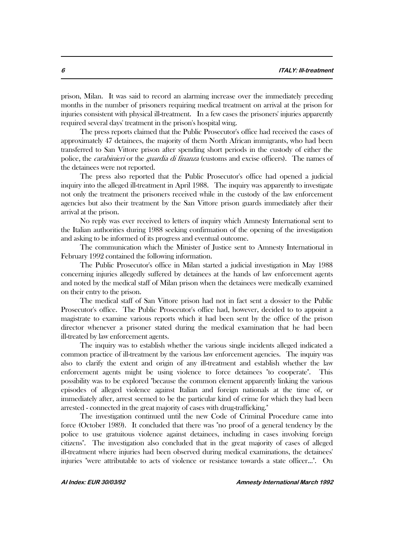prison, Milan. It was said to record an alarming increase over the immediately preceding months in the number of prisoners requiring medical treatment on arrival at the prison for injuries consistent with physical ill-treatment. In a few cases the prisoners' injuries apparently required several days' treatment in the prison's hospital wing.

The press reports claimed that the Public Prosecutor's office had received the cases of approximately 47 detainees, the majority of them North African immigrants, who had been transferred to San Vittore prison after spending short periods in the custody of either the police, the *carabinieri* or the *guardia di finanza* (customs and excise officers). The names of the detainees were not reported.

The press also reported that the Public Prosecutor's office had opened a judicial inquiry into the alleged ill-treatment in April 1988. The inquiry was apparently to investigate not only the treatment the prisoners received while in the custody of the law enforcement agencies but also their treatment by the San Vittore prison guards immediately after their arrival at the prison.

No reply was ever received to letters of inquiry which Amnesty International sent to the Italian authorities during 1988 seeking confirmation of the opening of the investigation and asking to be informed of its progress and eventual outcome.

The communication which the Minister of Justice sent to Amnesty International in February 1992 contained the following information.

The Public Prosecutor's office in Milan started a judicial investigation in May 1988 concerning injuries allegedly suffered by detainees at the hands of law enforcement agents and noted by the medical staff of Milan prison when the detainees were medically examined on their entry to the prison.

The medical staff of San Vittore prison had not in fact sent a dossier to the Public Prosecutor's office. The Public Prosecutor's office had, however, decided to to appoint a magistrate to examine various reports which it had been sent by the office of the prison director whenever a prisoner stated during the medical examination that he had been ill-treated by law enforcement agents.

The inquiry was to establish whether the various single incidents alleged indicated a common practice of ill-treatment by the various law enforcement agencies. The inquiry was also to clarify the extent and origin of any ill-treatment and establish whether the law enforcement agents might be using violence to force detainees "to cooperate". This possibility was to be explored "because the common element apparently linking the various episodes of alleged violence against Italian and foreign nationals at the time of, or immediately after, arrest seemed to be the particular kind of crime for which they had been arrested - connected in the great majority of cases with drug-trafficking."

The investigation continued until the new Code of Criminal Procedure came into force (October 1989). It concluded that there was "no proof of a general tendency by the police to use gratuitous violence against detainees, including in cases involving foreign citizens". The investigation also concluded that in the great majority of cases of alleged ill-treatment where injuries had been observed during medical examinations, the detainees' injuries "were attributable to acts of violence or resistance towards a state officer...". On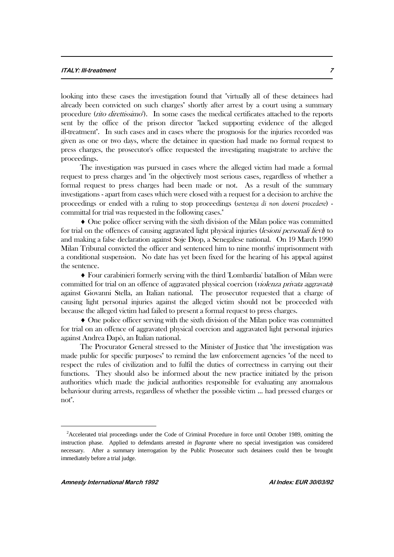#### **ITALY: Ill-treatment 7**

looking into these cases the investigation found that "virtually all of these detainees had already been convicted on such charges" shortly after arrest by a court using a summary procedure (*rito direttissimo*<sup>2</sup>). In some cases the medical certificates attached to the reports sent by the office of the prison director "lacked supporting evidence of the alleged ill-treatment". In such cases and in cases where the prognosis for the injuries recorded was given as one or two days, where the detainee in question had made no formal request to press charges, the prosecutor's office requested the investigating magistrate to archive the proceedings.

The investigation was pursued in cases where the alleged victim had made a formal request to press charges and "in the objectively most serious cases, regardless of whether a formal request to press charges had been made or not. As a result of the summary investigations - apart from cases which were closed with a request for a decision to archive the proceedings or ended with a ruling to stop proceedings (*sentenza di non doversi procedere*) committal for trial was requested in the following cases."

 One police officer serving with the sixth division of the Milan police was committed for trial on the offences of causing aggravated light physical injuries *(lesioni personali lievi)* to and making a false declaration against Soje Diop, a Senegalese national. On 19 March 1990 Milan Tribunal convicted the officer and sentenced him to nine months' imprisonment with a conditional suspension. No date has yet been fixed for the hearing of his appeal against the sentence.

 Four carabinieri formerly serving with the third 'Lombardia' batallion of Milan were committed for trial on an offence of aggravated physical coercion (violenza privata aggravata) against Giovanni Stella, an Italian national. The prosecutor requested that a charge of causing light personal injuries against the alleged victim should not be proceeded with because the alleged victim had failed to present a formal request to press charges.

 One police officer serving with the sixth division of the Milan police was committed for trial on an offence of aggravated physical coercion and aggravated light personal injuries against Andrea Dapò, an Italian national.

The Procurator General stressed to the Minister of Justice that "the investigation was made public for specific purposes" to remind the law enforcement agencies "of the need to respect the rules of civilization and to fulfil the duties of correctness in carrying out their functions. They should also be informed about the new practice initiated by the prison authorities which made the judicial authorities responsible for evaluating any anomalous behaviour during arrests, regardless of whether the possible victim ... had pressed charges or not".

 $\overline{a}$ 

<sup>&</sup>lt;sup>2</sup>Accelerated trial proceedings under the Code of Criminal Procedure in force until October 1989, omitting the instruction phase. Applied to defendants arrested *in flagrante* where no special investigation was considered necessary. After a summary interrogation by the Public Prosecutor such detainees could then be brought immediately before a trial judge.